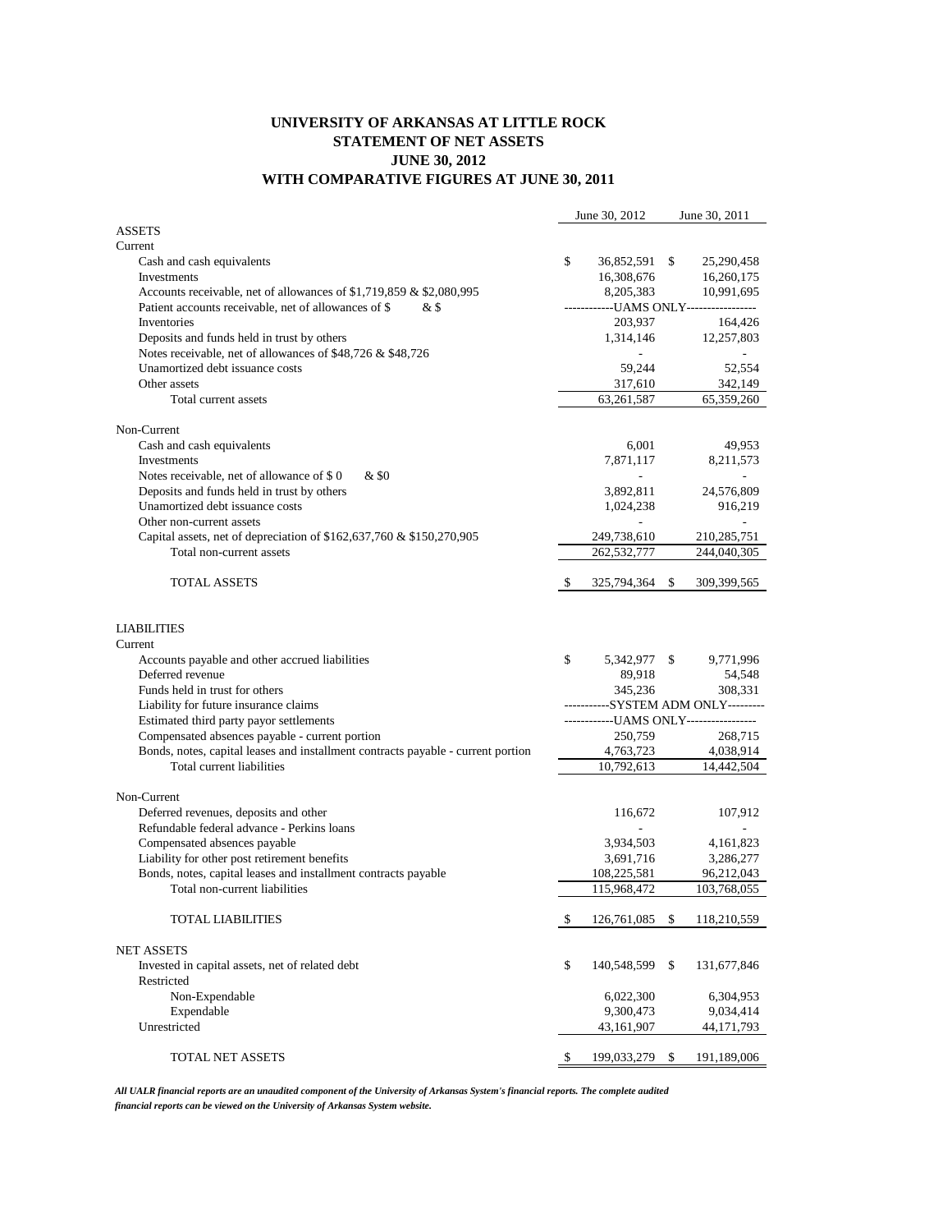## **UNIVERSITY OF ARKANSAS AT LITTLE ROCK STATEMENT OF NET ASSETS JUNE 30, 2012 WITH COMPARATIVE FIGURES AT JUNE 30, 2011**

|                                                                                  |                                    | June 30, 2012                           |    | June 30, 2011 |
|----------------------------------------------------------------------------------|------------------------------------|-----------------------------------------|----|---------------|
| <b>ASSETS</b>                                                                    |                                    |                                         |    |               |
| Current                                                                          |                                    |                                         |    |               |
| Cash and cash equivalents                                                        | \$                                 | 36,852,591 \$                           |    | 25,290,458    |
| Investments                                                                      |                                    | 16,308,676                              |    | 16,260,175    |
| Accounts receivable, net of allowances of \$1,719,859 & \$2,080,995              |                                    | 8,205,383                               |    | 10,991,695    |
| Patient accounts receivable, net of allowances of \$<br>& \$                     |                                    | ------------UAMS ONLY-----------------  |    |               |
| Inventories                                                                      |                                    | 203,937                                 |    | 164,426       |
| Deposits and funds held in trust by others                                       |                                    | 1,314,146                               |    | 12,257,803    |
| Notes receivable, net of allowances of \$48,726 & \$48,726                       |                                    |                                         |    |               |
| Unamortized debt issuance costs                                                  |                                    | 59,244                                  |    | 52,554        |
| Other assets                                                                     |                                    | 317,610                                 |    | 342,149       |
|                                                                                  |                                    |                                         |    |               |
| Total current assets                                                             |                                    | 63,261,587                              |    | 65,359,260    |
| Non-Current                                                                      |                                    |                                         |    |               |
| Cash and cash equivalents                                                        |                                    | 6,001                                   |    | 49,953        |
| Investments                                                                      |                                    | 7,871,117                               |    | 8,211,573     |
| Notes receivable, net of allowance of \$0<br>& \$0                               |                                    | a.                                      |    | $\sim$        |
|                                                                                  |                                    |                                         |    |               |
| Deposits and funds held in trust by others                                       |                                    | 3,892,811                               |    | 24,576,809    |
| Unamortized debt issuance costs                                                  |                                    | 1,024,238                               |    | 916,219       |
| Other non-current assets                                                         |                                    |                                         |    |               |
| Capital assets, net of depreciation of \$162,637,760 & \$150,270,905             |                                    | 249,738,610                             |    | 210, 285, 751 |
| Total non-current assets                                                         |                                    | 262,532,777                             |    | 244,040,305   |
|                                                                                  |                                    |                                         |    |               |
| <b>TOTAL ASSETS</b>                                                              | \$                                 | 325,794,364                             | \$ | 309,399,565   |
| <b>LIABILITIES</b>                                                               |                                    |                                         |    |               |
| Current                                                                          |                                    |                                         |    |               |
| Accounts payable and other accrued liabilities                                   | \$                                 | 5,342,977 \$                            |    | 9,771,996     |
| Deferred revenue                                                                 |                                    | 89,918                                  |    | 54,548        |
| Funds held in trust for others                                                   |                                    | 345,236                                 |    | 308,331       |
| Liability for future insurance claims                                            | ----------SYSTEM ADM ONLY--------- |                                         |    |               |
| Estimated third party payor settlements                                          |                                    | -------------UAMS ONLY----------------- |    |               |
| Compensated absences payable - current portion                                   |                                    | 250,759                                 |    | 268,715       |
| Bonds, notes, capital leases and installment contracts payable - current portion |                                    | 4,763,723                               |    | 4,038,914     |
| Total current liabilities                                                        |                                    | 10,792,613                              |    | 14,442,504    |
|                                                                                  |                                    |                                         |    |               |
| Non-Current                                                                      |                                    |                                         |    |               |
| Deferred revenues, deposits and other                                            |                                    | 116,672                                 |    | 107,912       |
| Refundable federal advance - Perkins loans                                       |                                    |                                         |    |               |
| Compensated absences payable                                                     |                                    | 3,934,503                               |    | 4, 161, 823   |
| Liability for other post retirement benefits                                     |                                    | 3,691,716                               |    | 3,286,277     |
| Bonds, notes, capital leases and installment contracts payable                   |                                    | 108,225,581                             |    | 96,212,043    |
| Total non-current liabilities                                                    |                                    | 115,968,472                             |    | 103,768,055   |
|                                                                                  |                                    |                                         |    |               |
| <b>TOTAL LIABILITIES</b>                                                         | \$                                 | 126,761,085                             | \$ | 118,210,559   |
|                                                                                  |                                    |                                         |    |               |
| <b>NET ASSETS</b>                                                                |                                    |                                         |    |               |
| Invested in capital assets, net of related debt                                  | \$                                 | 140,548,599                             | \$ | 131,677,846   |
| Restricted                                                                       |                                    |                                         |    |               |
| Non-Expendable                                                                   |                                    | 6,022,300                               |    | 6,304,953     |
| Expendable                                                                       |                                    | 9,300,473                               |    | 9,034,414     |
| Unrestricted                                                                     |                                    | 43,161,907                              |    | 44, 171, 793  |
|                                                                                  |                                    |                                         |    |               |
| TOTAL NET ASSETS                                                                 | \$                                 | 199,033,279 \$                          |    | 191,189,006   |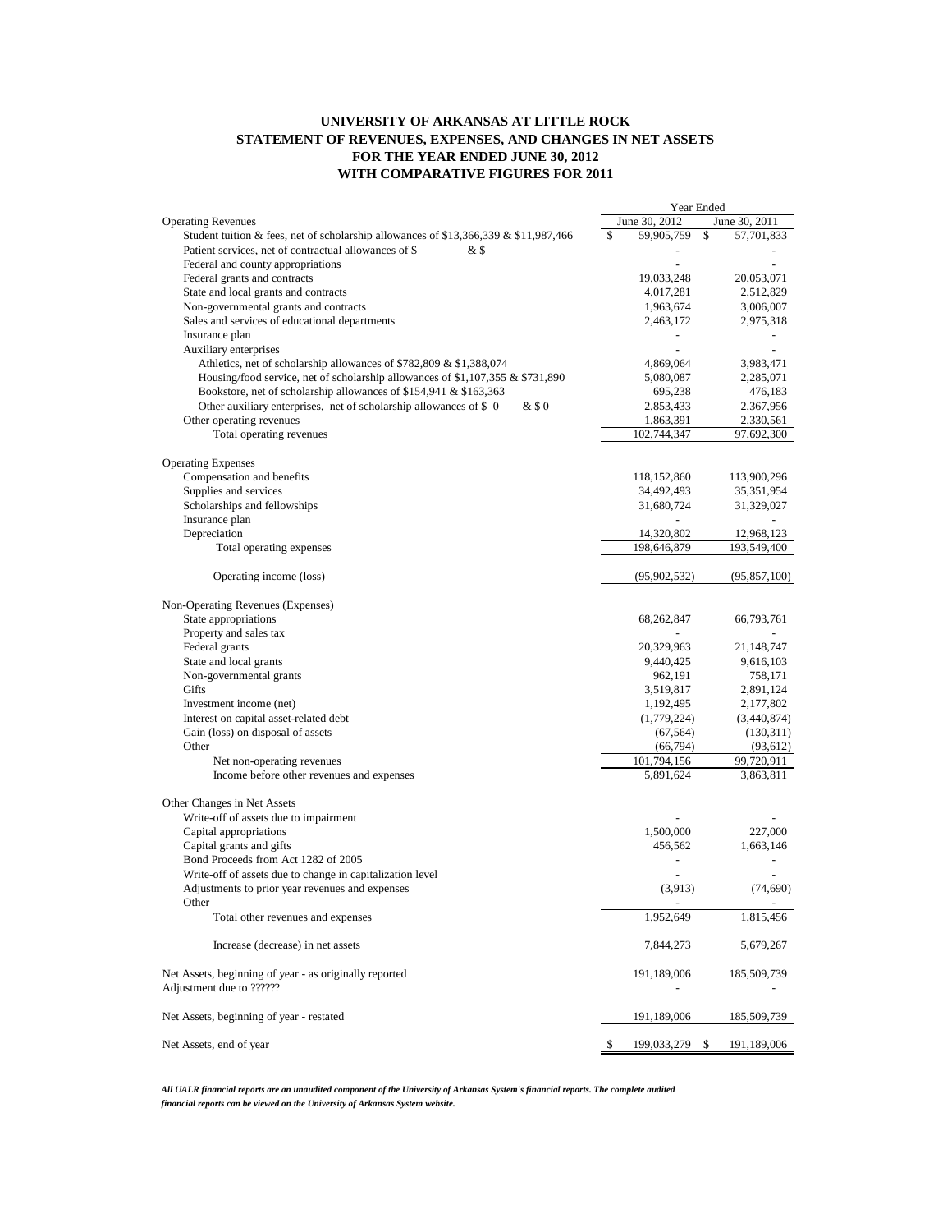## **UNIVERSITY OF ARKANSAS AT LITTLE ROCK STATEMENT OF REVENUES, EXPENSES, AND CHANGES IN NET ASSETS FOR THE YEAR ENDED JUNE 30, 2012 WITH COMPARATIVE FIGURES FOR 2011**

|                                                                                      | Year Ended |                |    |                |
|--------------------------------------------------------------------------------------|------------|----------------|----|----------------|
| <b>Operating Revenues</b>                                                            |            | June 30, 2012  |    | June 30, 2011  |
| Student tuition & fees, net of scholarship allowances of \$13,366,339 & \$11,987,466 | \$         | 59,905,759     | \$ | 57,701,833     |
| Patient services, net of contractual allowances of \$<br>& \$                        |            |                |    |                |
| Federal and county appropriations                                                    |            |                |    |                |
| Federal grants and contracts                                                         |            | 19,033,248     |    | 20,053,071     |
| State and local grants and contracts                                                 |            | 4,017,281      |    | 2,512,829      |
| Non-governmental grants and contracts                                                |            | 1,963,674      |    | 3,006,007      |
| Sales and services of educational departments                                        |            | 2,463,172      |    | 2,975,318      |
| Insurance plan                                                                       |            | ÷,             |    | $\blacksquare$ |
| Auxiliary enterprises                                                                |            |                |    |                |
| Athletics, net of scholarship allowances of \$782,809 & \$1,388,074                  |            | 4,869,064      |    | 3,983,471      |
| Housing/food service, net of scholarship allowances of \$1,107,355 $\&$ \$731,890    |            | 5,080,087      |    | 2,285,071      |
| Bookstore, net of scholarship allowances of \$154,941 & \$163,363                    |            | 695,238        |    | 476,183        |
| Other auxiliary enterprises, net of scholarship allowances of \$ 0<br>&\$0           |            | 2,853,433      |    | 2,367,956      |
| Other operating revenues                                                             |            | 1,863,391      |    | 2,330,561      |
| Total operating revenues                                                             |            | 102,744,347    |    | 97,692,300     |
|                                                                                      |            |                |    |                |
| <b>Operating Expenses</b>                                                            |            |                |    |                |
| Compensation and benefits                                                            |            | 118,152,860    |    | 113,900,296    |
| Supplies and services                                                                |            | 34,492,493     |    | 35,351,954     |
| Scholarships and fellowships                                                         |            | 31,680,724     |    | 31,329,027     |
| Insurance plan                                                                       |            |                |    |                |
| Depreciation                                                                         |            | 14,320,802     |    | 12,968,123     |
| Total operating expenses                                                             |            | 198,646,879    |    | 193,549,400    |
|                                                                                      |            |                |    |                |
| Operating income (loss)                                                              |            | (95, 902, 532) |    | (95, 857, 100) |
| Non-Operating Revenues (Expenses)                                                    |            |                |    |                |
| State appropriations                                                                 |            | 68,262,847     |    | 66,793,761     |
| Property and sales tax                                                               |            |                |    |                |
| Federal grants                                                                       |            | 20,329,963     |    | 21, 148, 747   |
| State and local grants                                                               |            | 9,440,425      |    | 9,616,103      |
| Non-governmental grants                                                              |            | 962,191        |    | 758,171        |
| Gifts                                                                                |            |                |    |                |
|                                                                                      |            | 3,519,817      |    | 2,891,124      |
| Investment income (net)                                                              |            | 1,192,495      |    | 2,177,802      |
| Interest on capital asset-related debt                                               |            | (1,779,224)    |    | (3,440,874)    |
| Gain (loss) on disposal of assets                                                    |            | (67, 564)      |    | (130,311)      |
| Other                                                                                |            | (66, 794)      |    | (93, 612)      |
| Net non-operating revenues                                                           |            | 101,794,156    |    | 99,720,911     |
| Income before other revenues and expenses                                            |            | 5,891,624      |    | 3,863,811      |
| Other Changes in Net Assets                                                          |            |                |    |                |
| Write-off of assets due to impairment                                                |            |                |    |                |
| Capital appropriations                                                               |            | 1,500,000      |    | 227,000        |
| Capital grants and gifts                                                             |            | 456,562        |    | 1,663,146      |
| Bond Proceeds from Act 1282 of 2005                                                  |            |                |    |                |
| Write-off of assets due to change in capitalization level                            |            |                |    |                |
| Adjustments to prior year revenues and expenses                                      |            | (3,913)        |    | (74, 690)      |
| Other                                                                                |            |                |    |                |
| Total other revenues and expenses                                                    |            | 1,952,649      |    | 1,815,456      |
| Increase (decrease) in net assets                                                    |            | 7,844,273      |    | 5,679,267      |
| Net Assets, beginning of year - as originally reported                               |            | 191,189,006    |    | 185,509,739    |
| Adjustment due to ??????                                                             |            |                |    |                |
| Net Assets, beginning of year - restated                                             |            | 191,189,006    |    | 185,509,739    |
| Net Assets, end of year                                                              | \$         | 199,033,279 \$ |    | 191,189,006    |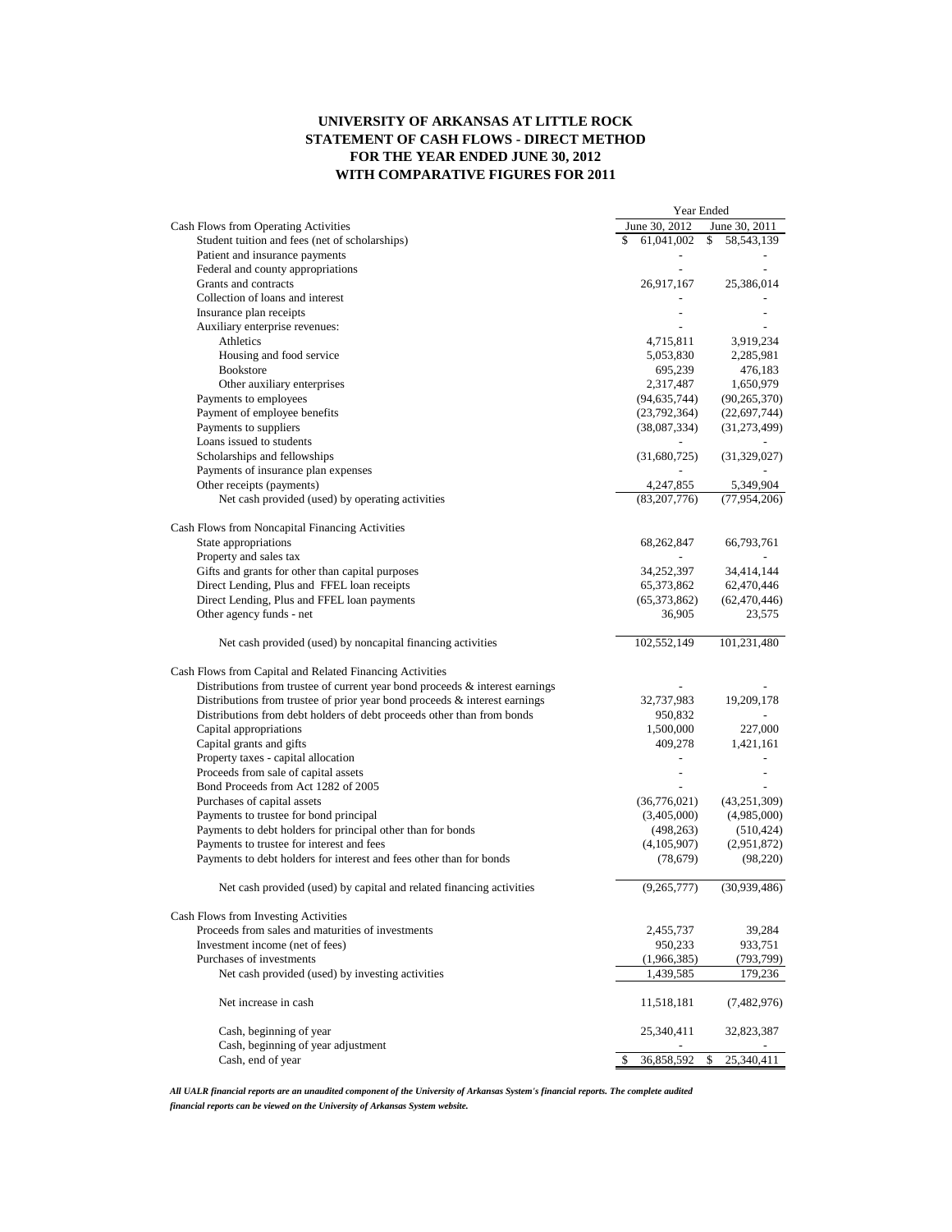## **UNIVERSITY OF ARKANSAS AT LITTLE ROCK STATEMENT OF CASH FLOWS - DIRECT METHOD FOR THE YEAR ENDED JUNE 30, 2012 WITH COMPARATIVE FIGURES FOR 2011**

| June 30, 2012<br>June 30, 2011<br>Cash Flows from Operating Activities<br>61,041,002<br>Student tuition and fees (net of scholarships)<br>\$<br>58, 543, 139<br>Patient and insurance payments<br>Federal and county appropriations<br>Grants and contracts<br>26,917,167<br>25,386,014<br>Collection of loans and interest<br>Insurance plan receipts<br>Auxiliary enterprise revenues:<br>Athletics<br>4,715,811<br>3,919,234<br>Housing and food service<br>5,053,830<br>2,285,981<br><b>Bookstore</b><br>695,239<br>476,183<br>Other auxiliary enterprises<br>2,317,487<br>1,650,979<br>Payments to employees<br>(94, 635, 744)<br>(90, 265, 370)<br>Payment of employee benefits<br>(23,792,364)<br>(22,697,744)<br>Payments to suppliers<br>(31, 273, 499)<br>(38,087,334)<br>Loans issued to students<br>Scholarships and fellowships<br>(31,680,725)<br>(31, 329, 027)<br>Payments of insurance plan expenses<br>Other receipts (payments)<br>4,247,855<br>5,349,904<br>Net cash provided (used) by operating activities<br>(83, 207, 776)<br>(77, 954, 206)<br>Cash Flows from Noncapital Financing Activities<br>State appropriations<br>66,793,761<br>68,262,847<br>Property and sales tax<br>Gifts and grants for other than capital purposes<br>34,252,397<br>34,414,144<br>Direct Lending, Plus and FFEL loan receipts<br>65,373,862<br>62,470,446<br>Direct Lending, Plus and FFEL loan payments<br>(65,373,862)<br>(62, 470, 446)<br>Other agency funds - net<br>36,905<br>23,575<br>Net cash provided (used) by noncapital financing activities<br>102,552,149<br>101,231,480<br>Cash Flows from Capital and Related Financing Activities<br>Distributions from trustee of current year bond proceeds $\&$ interest earnings<br>Distributions from trustee of prior year bond proceeds $\&$ interest earnings<br>32,737,983<br>19,209,178<br>Distributions from debt holders of debt proceeds other than from bonds<br>950,832<br>Capital appropriations<br>1,500,000<br>227,000<br>Capital grants and gifts<br>409,278<br>1,421,161<br>Property taxes - capital allocation<br>$\overline{\phantom{0}}$<br>Proceeds from sale of capital assets<br>$\overline{\phantom{0}}$<br>Bond Proceeds from Act 1282 of 2005<br>Purchases of capital assets<br>(36,776,021)<br>(43, 251, 309)<br>Payments to trustee for bond principal<br>(3,405,000)<br>(4,985,000)<br>Payments to debt holders for principal other than for bonds<br>(498, 263)<br>(510, 424)<br>Payments to trustee for interest and fees<br>(4,105,907)<br>(2,951,872)<br>Payments to debt holders for interest and fees other than for bonds<br>(78, 679)<br>(98, 220)<br>(30,939,486)<br>(9,265,777)<br>Net cash provided (used) by capital and related financing activities<br>Cash Flows from Investing Activities<br>Proceeds from sales and maturities of investments<br>2,455,737<br>39,284<br>Investment income (net of fees)<br>950,233<br>933,751<br>Purchases of investments<br>(1,966,385)<br>(793, 799)<br>1,439,585<br>Net cash provided (used) by investing activities<br>179,236<br>Net increase in cash<br>(7,482,976)<br>11,518,181<br>Cash, beginning of year<br>25,340,411<br>32,823,387<br>Cash, beginning of year adjustment<br>Cash, end of year<br>\$<br>36,858,592<br>\$<br>25,340,411 | Year Ended |  |
|---------------------------------------------------------------------------------------------------------------------------------------------------------------------------------------------------------------------------------------------------------------------------------------------------------------------------------------------------------------------------------------------------------------------------------------------------------------------------------------------------------------------------------------------------------------------------------------------------------------------------------------------------------------------------------------------------------------------------------------------------------------------------------------------------------------------------------------------------------------------------------------------------------------------------------------------------------------------------------------------------------------------------------------------------------------------------------------------------------------------------------------------------------------------------------------------------------------------------------------------------------------------------------------------------------------------------------------------------------------------------------------------------------------------------------------------------------------------------------------------------------------------------------------------------------------------------------------------------------------------------------------------------------------------------------------------------------------------------------------------------------------------------------------------------------------------------------------------------------------------------------------------------------------------------------------------------------------------------------------------------------------------------------------------------------------------------------------------------------------------------------------------------------------------------------------------------------------------------------------------------------------------------------------------------------------------------------------------------------------------------------------------------------------------------------------------------------------------------------------------------------------------------------------------------------------------------------------------------------------------------------------------------------------------------------------------------------------------------------------------------------------------------------------------------------------------------------------------------------------------------------------------------------------------------------------------------------------------------------------------------------------------------------------------------------------------------------------------------------------------------------------------------------------------------------------------------------------------------------------------------------------------------------------------|------------|--|
|                                                                                                                                                                                                                                                                                                                                                                                                                                                                                                                                                                                                                                                                                                                                                                                                                                                                                                                                                                                                                                                                                                                                                                                                                                                                                                                                                                                                                                                                                                                                                                                                                                                                                                                                                                                                                                                                                                                                                                                                                                                                                                                                                                                                                                                                                                                                                                                                                                                                                                                                                                                                                                                                                                                                                                                                                                                                                                                                                                                                                                                                                                                                                                                                                                                                                             |            |  |
|                                                                                                                                                                                                                                                                                                                                                                                                                                                                                                                                                                                                                                                                                                                                                                                                                                                                                                                                                                                                                                                                                                                                                                                                                                                                                                                                                                                                                                                                                                                                                                                                                                                                                                                                                                                                                                                                                                                                                                                                                                                                                                                                                                                                                                                                                                                                                                                                                                                                                                                                                                                                                                                                                                                                                                                                                                                                                                                                                                                                                                                                                                                                                                                                                                                                                             |            |  |
|                                                                                                                                                                                                                                                                                                                                                                                                                                                                                                                                                                                                                                                                                                                                                                                                                                                                                                                                                                                                                                                                                                                                                                                                                                                                                                                                                                                                                                                                                                                                                                                                                                                                                                                                                                                                                                                                                                                                                                                                                                                                                                                                                                                                                                                                                                                                                                                                                                                                                                                                                                                                                                                                                                                                                                                                                                                                                                                                                                                                                                                                                                                                                                                                                                                                                             |            |  |
|                                                                                                                                                                                                                                                                                                                                                                                                                                                                                                                                                                                                                                                                                                                                                                                                                                                                                                                                                                                                                                                                                                                                                                                                                                                                                                                                                                                                                                                                                                                                                                                                                                                                                                                                                                                                                                                                                                                                                                                                                                                                                                                                                                                                                                                                                                                                                                                                                                                                                                                                                                                                                                                                                                                                                                                                                                                                                                                                                                                                                                                                                                                                                                                                                                                                                             |            |  |
|                                                                                                                                                                                                                                                                                                                                                                                                                                                                                                                                                                                                                                                                                                                                                                                                                                                                                                                                                                                                                                                                                                                                                                                                                                                                                                                                                                                                                                                                                                                                                                                                                                                                                                                                                                                                                                                                                                                                                                                                                                                                                                                                                                                                                                                                                                                                                                                                                                                                                                                                                                                                                                                                                                                                                                                                                                                                                                                                                                                                                                                                                                                                                                                                                                                                                             |            |  |
|                                                                                                                                                                                                                                                                                                                                                                                                                                                                                                                                                                                                                                                                                                                                                                                                                                                                                                                                                                                                                                                                                                                                                                                                                                                                                                                                                                                                                                                                                                                                                                                                                                                                                                                                                                                                                                                                                                                                                                                                                                                                                                                                                                                                                                                                                                                                                                                                                                                                                                                                                                                                                                                                                                                                                                                                                                                                                                                                                                                                                                                                                                                                                                                                                                                                                             |            |  |
|                                                                                                                                                                                                                                                                                                                                                                                                                                                                                                                                                                                                                                                                                                                                                                                                                                                                                                                                                                                                                                                                                                                                                                                                                                                                                                                                                                                                                                                                                                                                                                                                                                                                                                                                                                                                                                                                                                                                                                                                                                                                                                                                                                                                                                                                                                                                                                                                                                                                                                                                                                                                                                                                                                                                                                                                                                                                                                                                                                                                                                                                                                                                                                                                                                                                                             |            |  |
|                                                                                                                                                                                                                                                                                                                                                                                                                                                                                                                                                                                                                                                                                                                                                                                                                                                                                                                                                                                                                                                                                                                                                                                                                                                                                                                                                                                                                                                                                                                                                                                                                                                                                                                                                                                                                                                                                                                                                                                                                                                                                                                                                                                                                                                                                                                                                                                                                                                                                                                                                                                                                                                                                                                                                                                                                                                                                                                                                                                                                                                                                                                                                                                                                                                                                             |            |  |
|                                                                                                                                                                                                                                                                                                                                                                                                                                                                                                                                                                                                                                                                                                                                                                                                                                                                                                                                                                                                                                                                                                                                                                                                                                                                                                                                                                                                                                                                                                                                                                                                                                                                                                                                                                                                                                                                                                                                                                                                                                                                                                                                                                                                                                                                                                                                                                                                                                                                                                                                                                                                                                                                                                                                                                                                                                                                                                                                                                                                                                                                                                                                                                                                                                                                                             |            |  |
|                                                                                                                                                                                                                                                                                                                                                                                                                                                                                                                                                                                                                                                                                                                                                                                                                                                                                                                                                                                                                                                                                                                                                                                                                                                                                                                                                                                                                                                                                                                                                                                                                                                                                                                                                                                                                                                                                                                                                                                                                                                                                                                                                                                                                                                                                                                                                                                                                                                                                                                                                                                                                                                                                                                                                                                                                                                                                                                                                                                                                                                                                                                                                                                                                                                                                             |            |  |
|                                                                                                                                                                                                                                                                                                                                                                                                                                                                                                                                                                                                                                                                                                                                                                                                                                                                                                                                                                                                                                                                                                                                                                                                                                                                                                                                                                                                                                                                                                                                                                                                                                                                                                                                                                                                                                                                                                                                                                                                                                                                                                                                                                                                                                                                                                                                                                                                                                                                                                                                                                                                                                                                                                                                                                                                                                                                                                                                                                                                                                                                                                                                                                                                                                                                                             |            |  |
|                                                                                                                                                                                                                                                                                                                                                                                                                                                                                                                                                                                                                                                                                                                                                                                                                                                                                                                                                                                                                                                                                                                                                                                                                                                                                                                                                                                                                                                                                                                                                                                                                                                                                                                                                                                                                                                                                                                                                                                                                                                                                                                                                                                                                                                                                                                                                                                                                                                                                                                                                                                                                                                                                                                                                                                                                                                                                                                                                                                                                                                                                                                                                                                                                                                                                             |            |  |
|                                                                                                                                                                                                                                                                                                                                                                                                                                                                                                                                                                                                                                                                                                                                                                                                                                                                                                                                                                                                                                                                                                                                                                                                                                                                                                                                                                                                                                                                                                                                                                                                                                                                                                                                                                                                                                                                                                                                                                                                                                                                                                                                                                                                                                                                                                                                                                                                                                                                                                                                                                                                                                                                                                                                                                                                                                                                                                                                                                                                                                                                                                                                                                                                                                                                                             |            |  |
|                                                                                                                                                                                                                                                                                                                                                                                                                                                                                                                                                                                                                                                                                                                                                                                                                                                                                                                                                                                                                                                                                                                                                                                                                                                                                                                                                                                                                                                                                                                                                                                                                                                                                                                                                                                                                                                                                                                                                                                                                                                                                                                                                                                                                                                                                                                                                                                                                                                                                                                                                                                                                                                                                                                                                                                                                                                                                                                                                                                                                                                                                                                                                                                                                                                                                             |            |  |
|                                                                                                                                                                                                                                                                                                                                                                                                                                                                                                                                                                                                                                                                                                                                                                                                                                                                                                                                                                                                                                                                                                                                                                                                                                                                                                                                                                                                                                                                                                                                                                                                                                                                                                                                                                                                                                                                                                                                                                                                                                                                                                                                                                                                                                                                                                                                                                                                                                                                                                                                                                                                                                                                                                                                                                                                                                                                                                                                                                                                                                                                                                                                                                                                                                                                                             |            |  |
|                                                                                                                                                                                                                                                                                                                                                                                                                                                                                                                                                                                                                                                                                                                                                                                                                                                                                                                                                                                                                                                                                                                                                                                                                                                                                                                                                                                                                                                                                                                                                                                                                                                                                                                                                                                                                                                                                                                                                                                                                                                                                                                                                                                                                                                                                                                                                                                                                                                                                                                                                                                                                                                                                                                                                                                                                                                                                                                                                                                                                                                                                                                                                                                                                                                                                             |            |  |
|                                                                                                                                                                                                                                                                                                                                                                                                                                                                                                                                                                                                                                                                                                                                                                                                                                                                                                                                                                                                                                                                                                                                                                                                                                                                                                                                                                                                                                                                                                                                                                                                                                                                                                                                                                                                                                                                                                                                                                                                                                                                                                                                                                                                                                                                                                                                                                                                                                                                                                                                                                                                                                                                                                                                                                                                                                                                                                                                                                                                                                                                                                                                                                                                                                                                                             |            |  |
|                                                                                                                                                                                                                                                                                                                                                                                                                                                                                                                                                                                                                                                                                                                                                                                                                                                                                                                                                                                                                                                                                                                                                                                                                                                                                                                                                                                                                                                                                                                                                                                                                                                                                                                                                                                                                                                                                                                                                                                                                                                                                                                                                                                                                                                                                                                                                                                                                                                                                                                                                                                                                                                                                                                                                                                                                                                                                                                                                                                                                                                                                                                                                                                                                                                                                             |            |  |
|                                                                                                                                                                                                                                                                                                                                                                                                                                                                                                                                                                                                                                                                                                                                                                                                                                                                                                                                                                                                                                                                                                                                                                                                                                                                                                                                                                                                                                                                                                                                                                                                                                                                                                                                                                                                                                                                                                                                                                                                                                                                                                                                                                                                                                                                                                                                                                                                                                                                                                                                                                                                                                                                                                                                                                                                                                                                                                                                                                                                                                                                                                                                                                                                                                                                                             |            |  |
|                                                                                                                                                                                                                                                                                                                                                                                                                                                                                                                                                                                                                                                                                                                                                                                                                                                                                                                                                                                                                                                                                                                                                                                                                                                                                                                                                                                                                                                                                                                                                                                                                                                                                                                                                                                                                                                                                                                                                                                                                                                                                                                                                                                                                                                                                                                                                                                                                                                                                                                                                                                                                                                                                                                                                                                                                                                                                                                                                                                                                                                                                                                                                                                                                                                                                             |            |  |
|                                                                                                                                                                                                                                                                                                                                                                                                                                                                                                                                                                                                                                                                                                                                                                                                                                                                                                                                                                                                                                                                                                                                                                                                                                                                                                                                                                                                                                                                                                                                                                                                                                                                                                                                                                                                                                                                                                                                                                                                                                                                                                                                                                                                                                                                                                                                                                                                                                                                                                                                                                                                                                                                                                                                                                                                                                                                                                                                                                                                                                                                                                                                                                                                                                                                                             |            |  |
|                                                                                                                                                                                                                                                                                                                                                                                                                                                                                                                                                                                                                                                                                                                                                                                                                                                                                                                                                                                                                                                                                                                                                                                                                                                                                                                                                                                                                                                                                                                                                                                                                                                                                                                                                                                                                                                                                                                                                                                                                                                                                                                                                                                                                                                                                                                                                                                                                                                                                                                                                                                                                                                                                                                                                                                                                                                                                                                                                                                                                                                                                                                                                                                                                                                                                             |            |  |
|                                                                                                                                                                                                                                                                                                                                                                                                                                                                                                                                                                                                                                                                                                                                                                                                                                                                                                                                                                                                                                                                                                                                                                                                                                                                                                                                                                                                                                                                                                                                                                                                                                                                                                                                                                                                                                                                                                                                                                                                                                                                                                                                                                                                                                                                                                                                                                                                                                                                                                                                                                                                                                                                                                                                                                                                                                                                                                                                                                                                                                                                                                                                                                                                                                                                                             |            |  |
|                                                                                                                                                                                                                                                                                                                                                                                                                                                                                                                                                                                                                                                                                                                                                                                                                                                                                                                                                                                                                                                                                                                                                                                                                                                                                                                                                                                                                                                                                                                                                                                                                                                                                                                                                                                                                                                                                                                                                                                                                                                                                                                                                                                                                                                                                                                                                                                                                                                                                                                                                                                                                                                                                                                                                                                                                                                                                                                                                                                                                                                                                                                                                                                                                                                                                             |            |  |
|                                                                                                                                                                                                                                                                                                                                                                                                                                                                                                                                                                                                                                                                                                                                                                                                                                                                                                                                                                                                                                                                                                                                                                                                                                                                                                                                                                                                                                                                                                                                                                                                                                                                                                                                                                                                                                                                                                                                                                                                                                                                                                                                                                                                                                                                                                                                                                                                                                                                                                                                                                                                                                                                                                                                                                                                                                                                                                                                                                                                                                                                                                                                                                                                                                                                                             |            |  |
|                                                                                                                                                                                                                                                                                                                                                                                                                                                                                                                                                                                                                                                                                                                                                                                                                                                                                                                                                                                                                                                                                                                                                                                                                                                                                                                                                                                                                                                                                                                                                                                                                                                                                                                                                                                                                                                                                                                                                                                                                                                                                                                                                                                                                                                                                                                                                                                                                                                                                                                                                                                                                                                                                                                                                                                                                                                                                                                                                                                                                                                                                                                                                                                                                                                                                             |            |  |
|                                                                                                                                                                                                                                                                                                                                                                                                                                                                                                                                                                                                                                                                                                                                                                                                                                                                                                                                                                                                                                                                                                                                                                                                                                                                                                                                                                                                                                                                                                                                                                                                                                                                                                                                                                                                                                                                                                                                                                                                                                                                                                                                                                                                                                                                                                                                                                                                                                                                                                                                                                                                                                                                                                                                                                                                                                                                                                                                                                                                                                                                                                                                                                                                                                                                                             |            |  |
|                                                                                                                                                                                                                                                                                                                                                                                                                                                                                                                                                                                                                                                                                                                                                                                                                                                                                                                                                                                                                                                                                                                                                                                                                                                                                                                                                                                                                                                                                                                                                                                                                                                                                                                                                                                                                                                                                                                                                                                                                                                                                                                                                                                                                                                                                                                                                                                                                                                                                                                                                                                                                                                                                                                                                                                                                                                                                                                                                                                                                                                                                                                                                                                                                                                                                             |            |  |
|                                                                                                                                                                                                                                                                                                                                                                                                                                                                                                                                                                                                                                                                                                                                                                                                                                                                                                                                                                                                                                                                                                                                                                                                                                                                                                                                                                                                                                                                                                                                                                                                                                                                                                                                                                                                                                                                                                                                                                                                                                                                                                                                                                                                                                                                                                                                                                                                                                                                                                                                                                                                                                                                                                                                                                                                                                                                                                                                                                                                                                                                                                                                                                                                                                                                                             |            |  |
|                                                                                                                                                                                                                                                                                                                                                                                                                                                                                                                                                                                                                                                                                                                                                                                                                                                                                                                                                                                                                                                                                                                                                                                                                                                                                                                                                                                                                                                                                                                                                                                                                                                                                                                                                                                                                                                                                                                                                                                                                                                                                                                                                                                                                                                                                                                                                                                                                                                                                                                                                                                                                                                                                                                                                                                                                                                                                                                                                                                                                                                                                                                                                                                                                                                                                             |            |  |
|                                                                                                                                                                                                                                                                                                                                                                                                                                                                                                                                                                                                                                                                                                                                                                                                                                                                                                                                                                                                                                                                                                                                                                                                                                                                                                                                                                                                                                                                                                                                                                                                                                                                                                                                                                                                                                                                                                                                                                                                                                                                                                                                                                                                                                                                                                                                                                                                                                                                                                                                                                                                                                                                                                                                                                                                                                                                                                                                                                                                                                                                                                                                                                                                                                                                                             |            |  |
|                                                                                                                                                                                                                                                                                                                                                                                                                                                                                                                                                                                                                                                                                                                                                                                                                                                                                                                                                                                                                                                                                                                                                                                                                                                                                                                                                                                                                                                                                                                                                                                                                                                                                                                                                                                                                                                                                                                                                                                                                                                                                                                                                                                                                                                                                                                                                                                                                                                                                                                                                                                                                                                                                                                                                                                                                                                                                                                                                                                                                                                                                                                                                                                                                                                                                             |            |  |
|                                                                                                                                                                                                                                                                                                                                                                                                                                                                                                                                                                                                                                                                                                                                                                                                                                                                                                                                                                                                                                                                                                                                                                                                                                                                                                                                                                                                                                                                                                                                                                                                                                                                                                                                                                                                                                                                                                                                                                                                                                                                                                                                                                                                                                                                                                                                                                                                                                                                                                                                                                                                                                                                                                                                                                                                                                                                                                                                                                                                                                                                                                                                                                                                                                                                                             |            |  |
|                                                                                                                                                                                                                                                                                                                                                                                                                                                                                                                                                                                                                                                                                                                                                                                                                                                                                                                                                                                                                                                                                                                                                                                                                                                                                                                                                                                                                                                                                                                                                                                                                                                                                                                                                                                                                                                                                                                                                                                                                                                                                                                                                                                                                                                                                                                                                                                                                                                                                                                                                                                                                                                                                                                                                                                                                                                                                                                                                                                                                                                                                                                                                                                                                                                                                             |            |  |
|                                                                                                                                                                                                                                                                                                                                                                                                                                                                                                                                                                                                                                                                                                                                                                                                                                                                                                                                                                                                                                                                                                                                                                                                                                                                                                                                                                                                                                                                                                                                                                                                                                                                                                                                                                                                                                                                                                                                                                                                                                                                                                                                                                                                                                                                                                                                                                                                                                                                                                                                                                                                                                                                                                                                                                                                                                                                                                                                                                                                                                                                                                                                                                                                                                                                                             |            |  |
|                                                                                                                                                                                                                                                                                                                                                                                                                                                                                                                                                                                                                                                                                                                                                                                                                                                                                                                                                                                                                                                                                                                                                                                                                                                                                                                                                                                                                                                                                                                                                                                                                                                                                                                                                                                                                                                                                                                                                                                                                                                                                                                                                                                                                                                                                                                                                                                                                                                                                                                                                                                                                                                                                                                                                                                                                                                                                                                                                                                                                                                                                                                                                                                                                                                                                             |            |  |
|                                                                                                                                                                                                                                                                                                                                                                                                                                                                                                                                                                                                                                                                                                                                                                                                                                                                                                                                                                                                                                                                                                                                                                                                                                                                                                                                                                                                                                                                                                                                                                                                                                                                                                                                                                                                                                                                                                                                                                                                                                                                                                                                                                                                                                                                                                                                                                                                                                                                                                                                                                                                                                                                                                                                                                                                                                                                                                                                                                                                                                                                                                                                                                                                                                                                                             |            |  |
|                                                                                                                                                                                                                                                                                                                                                                                                                                                                                                                                                                                                                                                                                                                                                                                                                                                                                                                                                                                                                                                                                                                                                                                                                                                                                                                                                                                                                                                                                                                                                                                                                                                                                                                                                                                                                                                                                                                                                                                                                                                                                                                                                                                                                                                                                                                                                                                                                                                                                                                                                                                                                                                                                                                                                                                                                                                                                                                                                                                                                                                                                                                                                                                                                                                                                             |            |  |
|                                                                                                                                                                                                                                                                                                                                                                                                                                                                                                                                                                                                                                                                                                                                                                                                                                                                                                                                                                                                                                                                                                                                                                                                                                                                                                                                                                                                                                                                                                                                                                                                                                                                                                                                                                                                                                                                                                                                                                                                                                                                                                                                                                                                                                                                                                                                                                                                                                                                                                                                                                                                                                                                                                                                                                                                                                                                                                                                                                                                                                                                                                                                                                                                                                                                                             |            |  |
|                                                                                                                                                                                                                                                                                                                                                                                                                                                                                                                                                                                                                                                                                                                                                                                                                                                                                                                                                                                                                                                                                                                                                                                                                                                                                                                                                                                                                                                                                                                                                                                                                                                                                                                                                                                                                                                                                                                                                                                                                                                                                                                                                                                                                                                                                                                                                                                                                                                                                                                                                                                                                                                                                                                                                                                                                                                                                                                                                                                                                                                                                                                                                                                                                                                                                             |            |  |
|                                                                                                                                                                                                                                                                                                                                                                                                                                                                                                                                                                                                                                                                                                                                                                                                                                                                                                                                                                                                                                                                                                                                                                                                                                                                                                                                                                                                                                                                                                                                                                                                                                                                                                                                                                                                                                                                                                                                                                                                                                                                                                                                                                                                                                                                                                                                                                                                                                                                                                                                                                                                                                                                                                                                                                                                                                                                                                                                                                                                                                                                                                                                                                                                                                                                                             |            |  |
|                                                                                                                                                                                                                                                                                                                                                                                                                                                                                                                                                                                                                                                                                                                                                                                                                                                                                                                                                                                                                                                                                                                                                                                                                                                                                                                                                                                                                                                                                                                                                                                                                                                                                                                                                                                                                                                                                                                                                                                                                                                                                                                                                                                                                                                                                                                                                                                                                                                                                                                                                                                                                                                                                                                                                                                                                                                                                                                                                                                                                                                                                                                                                                                                                                                                                             |            |  |
|                                                                                                                                                                                                                                                                                                                                                                                                                                                                                                                                                                                                                                                                                                                                                                                                                                                                                                                                                                                                                                                                                                                                                                                                                                                                                                                                                                                                                                                                                                                                                                                                                                                                                                                                                                                                                                                                                                                                                                                                                                                                                                                                                                                                                                                                                                                                                                                                                                                                                                                                                                                                                                                                                                                                                                                                                                                                                                                                                                                                                                                                                                                                                                                                                                                                                             |            |  |
|                                                                                                                                                                                                                                                                                                                                                                                                                                                                                                                                                                                                                                                                                                                                                                                                                                                                                                                                                                                                                                                                                                                                                                                                                                                                                                                                                                                                                                                                                                                                                                                                                                                                                                                                                                                                                                                                                                                                                                                                                                                                                                                                                                                                                                                                                                                                                                                                                                                                                                                                                                                                                                                                                                                                                                                                                                                                                                                                                                                                                                                                                                                                                                                                                                                                                             |            |  |
|                                                                                                                                                                                                                                                                                                                                                                                                                                                                                                                                                                                                                                                                                                                                                                                                                                                                                                                                                                                                                                                                                                                                                                                                                                                                                                                                                                                                                                                                                                                                                                                                                                                                                                                                                                                                                                                                                                                                                                                                                                                                                                                                                                                                                                                                                                                                                                                                                                                                                                                                                                                                                                                                                                                                                                                                                                                                                                                                                                                                                                                                                                                                                                                                                                                                                             |            |  |
|                                                                                                                                                                                                                                                                                                                                                                                                                                                                                                                                                                                                                                                                                                                                                                                                                                                                                                                                                                                                                                                                                                                                                                                                                                                                                                                                                                                                                                                                                                                                                                                                                                                                                                                                                                                                                                                                                                                                                                                                                                                                                                                                                                                                                                                                                                                                                                                                                                                                                                                                                                                                                                                                                                                                                                                                                                                                                                                                                                                                                                                                                                                                                                                                                                                                                             |            |  |
|                                                                                                                                                                                                                                                                                                                                                                                                                                                                                                                                                                                                                                                                                                                                                                                                                                                                                                                                                                                                                                                                                                                                                                                                                                                                                                                                                                                                                                                                                                                                                                                                                                                                                                                                                                                                                                                                                                                                                                                                                                                                                                                                                                                                                                                                                                                                                                                                                                                                                                                                                                                                                                                                                                                                                                                                                                                                                                                                                                                                                                                                                                                                                                                                                                                                                             |            |  |
|                                                                                                                                                                                                                                                                                                                                                                                                                                                                                                                                                                                                                                                                                                                                                                                                                                                                                                                                                                                                                                                                                                                                                                                                                                                                                                                                                                                                                                                                                                                                                                                                                                                                                                                                                                                                                                                                                                                                                                                                                                                                                                                                                                                                                                                                                                                                                                                                                                                                                                                                                                                                                                                                                                                                                                                                                                                                                                                                                                                                                                                                                                                                                                                                                                                                                             |            |  |
|                                                                                                                                                                                                                                                                                                                                                                                                                                                                                                                                                                                                                                                                                                                                                                                                                                                                                                                                                                                                                                                                                                                                                                                                                                                                                                                                                                                                                                                                                                                                                                                                                                                                                                                                                                                                                                                                                                                                                                                                                                                                                                                                                                                                                                                                                                                                                                                                                                                                                                                                                                                                                                                                                                                                                                                                                                                                                                                                                                                                                                                                                                                                                                                                                                                                                             |            |  |
|                                                                                                                                                                                                                                                                                                                                                                                                                                                                                                                                                                                                                                                                                                                                                                                                                                                                                                                                                                                                                                                                                                                                                                                                                                                                                                                                                                                                                                                                                                                                                                                                                                                                                                                                                                                                                                                                                                                                                                                                                                                                                                                                                                                                                                                                                                                                                                                                                                                                                                                                                                                                                                                                                                                                                                                                                                                                                                                                                                                                                                                                                                                                                                                                                                                                                             |            |  |
|                                                                                                                                                                                                                                                                                                                                                                                                                                                                                                                                                                                                                                                                                                                                                                                                                                                                                                                                                                                                                                                                                                                                                                                                                                                                                                                                                                                                                                                                                                                                                                                                                                                                                                                                                                                                                                                                                                                                                                                                                                                                                                                                                                                                                                                                                                                                                                                                                                                                                                                                                                                                                                                                                                                                                                                                                                                                                                                                                                                                                                                                                                                                                                                                                                                                                             |            |  |
|                                                                                                                                                                                                                                                                                                                                                                                                                                                                                                                                                                                                                                                                                                                                                                                                                                                                                                                                                                                                                                                                                                                                                                                                                                                                                                                                                                                                                                                                                                                                                                                                                                                                                                                                                                                                                                                                                                                                                                                                                                                                                                                                                                                                                                                                                                                                                                                                                                                                                                                                                                                                                                                                                                                                                                                                                                                                                                                                                                                                                                                                                                                                                                                                                                                                                             |            |  |
|                                                                                                                                                                                                                                                                                                                                                                                                                                                                                                                                                                                                                                                                                                                                                                                                                                                                                                                                                                                                                                                                                                                                                                                                                                                                                                                                                                                                                                                                                                                                                                                                                                                                                                                                                                                                                                                                                                                                                                                                                                                                                                                                                                                                                                                                                                                                                                                                                                                                                                                                                                                                                                                                                                                                                                                                                                                                                                                                                                                                                                                                                                                                                                                                                                                                                             |            |  |
|                                                                                                                                                                                                                                                                                                                                                                                                                                                                                                                                                                                                                                                                                                                                                                                                                                                                                                                                                                                                                                                                                                                                                                                                                                                                                                                                                                                                                                                                                                                                                                                                                                                                                                                                                                                                                                                                                                                                                                                                                                                                                                                                                                                                                                                                                                                                                                                                                                                                                                                                                                                                                                                                                                                                                                                                                                                                                                                                                                                                                                                                                                                                                                                                                                                                                             |            |  |
|                                                                                                                                                                                                                                                                                                                                                                                                                                                                                                                                                                                                                                                                                                                                                                                                                                                                                                                                                                                                                                                                                                                                                                                                                                                                                                                                                                                                                                                                                                                                                                                                                                                                                                                                                                                                                                                                                                                                                                                                                                                                                                                                                                                                                                                                                                                                                                                                                                                                                                                                                                                                                                                                                                                                                                                                                                                                                                                                                                                                                                                                                                                                                                                                                                                                                             |            |  |
|                                                                                                                                                                                                                                                                                                                                                                                                                                                                                                                                                                                                                                                                                                                                                                                                                                                                                                                                                                                                                                                                                                                                                                                                                                                                                                                                                                                                                                                                                                                                                                                                                                                                                                                                                                                                                                                                                                                                                                                                                                                                                                                                                                                                                                                                                                                                                                                                                                                                                                                                                                                                                                                                                                                                                                                                                                                                                                                                                                                                                                                                                                                                                                                                                                                                                             |            |  |